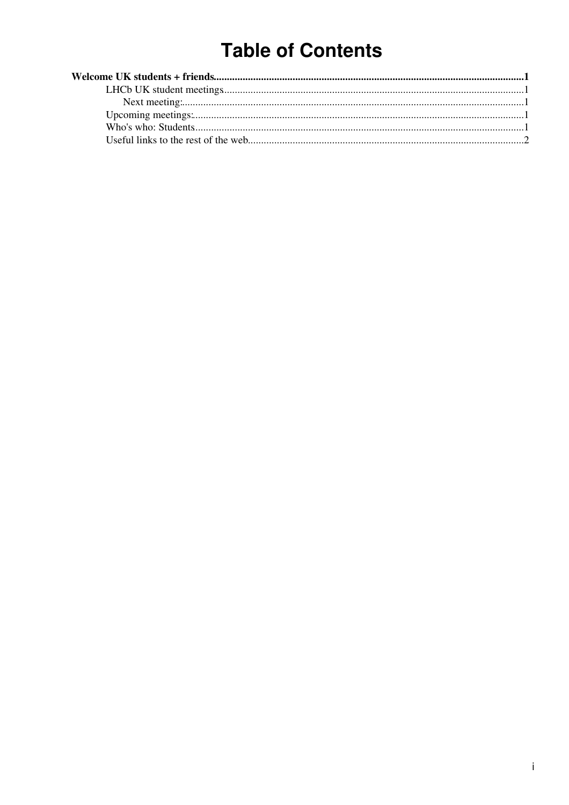# **Table of Contents**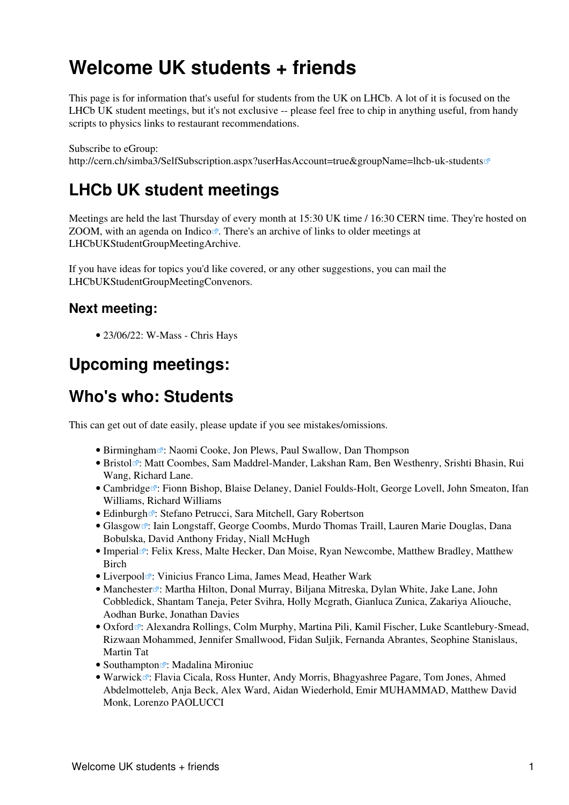## <span id="page-1-0"></span>**Welcome UK students + friends**

This page is for information that's useful for students from the UK on LHCb. A lot of it is focused on the LHCb UK student meetings, but it's not exclusive -- please feel free to chip in anything useful, from handy scripts to physics links to restaurant recommendations.

Subscribe to eGroup: <http://cern.ch/simba3/SelfSubscription.aspx?userHasAccount=true&groupName=lhcb-uk-students>

### <span id="page-1-1"></span>**LHCb UK student meetings**

Meetings are held the last Thursday of every month at 15:30 UK time / 16:30 CERN time. They're hosted on ZOOM, with an agenda on [Indico](https://indico.cern.ch/category/14937/) $\mathbb{Z}$ . There's an archive of links to older meetings at LHCbUKStudentGroupMeetingArchive.

If you have ideas for topics you'd like covered, or any other suggestions, you can mail the LHCbUKStudentGroupMeetingConvenors.

#### <span id="page-1-2"></span>**Next meeting:**

• 23/06/22: W-Mass - Chris Hays

### <span id="page-1-3"></span>**Upcoming meetings:**

### <span id="page-1-4"></span>**Who's who: Students**

This can get out of date easily, please update if you see mistakes/omissions.

- [Birmingham](http://www.ep.ph.bham.ac.uk/)<sup>7</sup>: Naomi Cooke, Jon Plews, Paul Swallow, Dan Thompson
- [Bristol](http://www.phy.bris.ac.uk/groups/particle/)<sup>®</sup>: Matt Coombes, Sam Maddrel-Mander, Lakshan Ram, Ben Westhenry, Srishti Bhasin, Rui Wang, Richard Lane.
- [Cambridge](http://www.hep.phy.cam.ac.uk/lhcb/)<sup>r</sup>: Fionn Bishop, Blaise Delaney, Daniel Foulds-Holt, George Lovell, John Smeaton, Ifan Williams, Richard Williams
- [Edinburgh](http://www2.ph.ed.ac.uk/particle-physics-experiment/research/LHCb/)<sup>7</sup>: Stefano Petrucci, Sara Mitchell, Gary Robertson
- [Glasgow](http://ppewww.physics.gla.ac.uk/LHCb/)<sup>®</sup>: Iain Longstaff, George Coombs, Murdo Thomas Traill, Lauren Marie Douglas, Dana Bobulska, David Anthony Friday, Niall [McHugh](https://twiki.cern.ch/twiki/bin/edit/Main/McHugh?topicparent=Main.LHCbUKStudentGroup;nowysiwyg=1)
- [Imperial](http://www.imperial.ac.uk/research/hep/research/lhcb.htm)<sup>®</sup>: Felix Kress, Malte Hecker, Dan Moise, Ryan Newcombe, Matthew Bradley, Matthew Birch
- [Liverpool](http://hep.ph.liv.ac.uk/lhcb/)<sup>r</sup>: Vinicius Franco Lima, James Mead, Heather Wark
- [Manchester](http://www.hep.man.ac.uk/)<sup>®</sup>: Martha Hilton, Donal Murray, Biljana Mitreska, Dylan White, Jake Lane, John Cobbledick, Shantam Taneja, Peter Svihra, Holly Mcgrath, Gianluca Zunica, Zakariya Aliouche, Aodhan Burke, Jonathan Davies
- [Oxford](http://www-pnp.physics.ox.ac.uk/~lhcb/)<sup>®</sup>: Alexandra Rollings, Colm Murphy, Martina Pili, Kamil Fischer, Luke Scantlebury-Smead, Rizwaan Mohammed, Jennifer Smallwood, Fidan Suljik, Fernanda Abrantes, Seophine Stanislaus, Martin Tat
- [Southampton](http://www.hep.phys.soton.ac.uk/)<sup> $\mathbb{F}$ </sup>: Madalina Mironiuc
- [Warwick](http://www2.warwick.ac.uk/fac/sci/physics/research/epp/exp/bphysics/lhcb/)<sup>®</sup>: Flavia Cicala, Ross Hunter, Andy Morris, Bhagyashree Pagare, Tom Jones, Ahmed Abdelmotteleb, Anja Beck, Alex Ward, Aidan Wiederhold, Emir MUHAMMAD, Matthew David Monk, Lorenzo PAOLUCCI